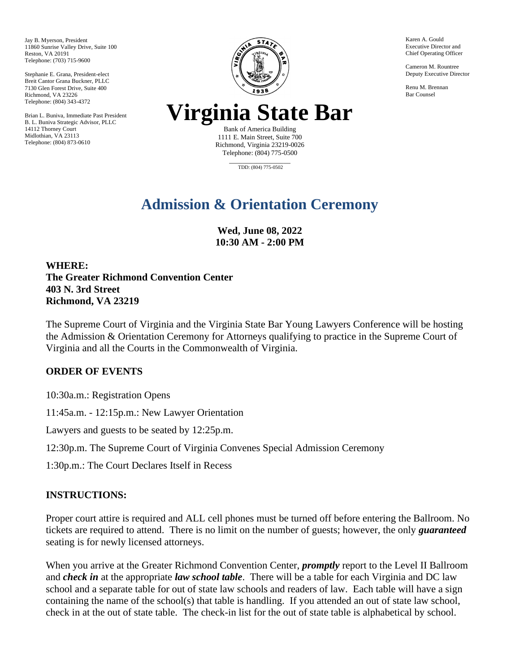Jay B. Myerson, President 11860 Sunrise Valley Drive, Suite 100 Reston, VA 20191 Telephone: (703) 715-9600

Stephanie E. Grana, President-elect Breit Cantor Grana Buckner, PLLC 7130 Glen Forest Drive, Suite 400 Richmond, VA 23226 Telephone: (804) 343-4372

Brian L. Buniva, Immediate Past President B. L. Buniva Strategic Advisor, PLLC 14112 Thorney Court Midlothian, VA 23113 Telephone: (804) 873-0610



Karen A. Gould Executive Director and Chief Operating Officer

Cameron M. Rountree Deputy Executive Director

Renu M. Brennan Bar Counsel

## **Virginia State Bar**

Bank of America Building 1111 E. Main Street, Suite 700 Richmond, Virginia 23219-0026 Telephone: (804) 775-0500

\_\_\_\_\_\_\_\_\_\_\_\_\_\_\_\_\_\_ TDD: (804) 775-0502

## **Admission & Orientation Ceremony**

**Wed, June 08, 2022 10:30 AM - 2:00 PM**

**WHERE: The Greater Richmond Convention Center 403 N. 3rd Street Richmond, VA 23219** 

The Supreme Court of Virginia and the Virginia State Bar Young Lawyers Conference will be hosting the Admission & Orientation Ceremony for Attorneys qualifying to practice in the Supreme Court of Virginia and all the Courts in the Commonwealth of Virginia.

## **ORDER OF EVENTS**

10:30a.m.: Registration Opens

11:45a.m. - 12:15p.m.: New Lawyer Orientation

Lawyers and guests to be seated by 12:25p.m.

12:30p.m. The Supreme Court of Virginia Convenes Special Admission Ceremony

1:30p.m.: The Court Declares Itself in Recess

## **INSTRUCTIONS:**

Proper court attire is required and ALL cell phones must be turned off before entering the Ballroom. No tickets are required to attend. There is no limit on the number of guests; however, the only *guaranteed*  seating is for newly licensed attorneys.

When you arrive at the Greater Richmond Convention Center, *promptly* report to the Level II Ballroom and *check in* at the appropriate *law school table*. There will be a table for each Virginia and DC law school and a separate table for out of state law schools and readers of law. Each table will have a sign containing the name of the school(s) that table is handling. If you attended an out of state law school, check in at the out of state table. The check-in list for the out of state table is alphabetical by school.